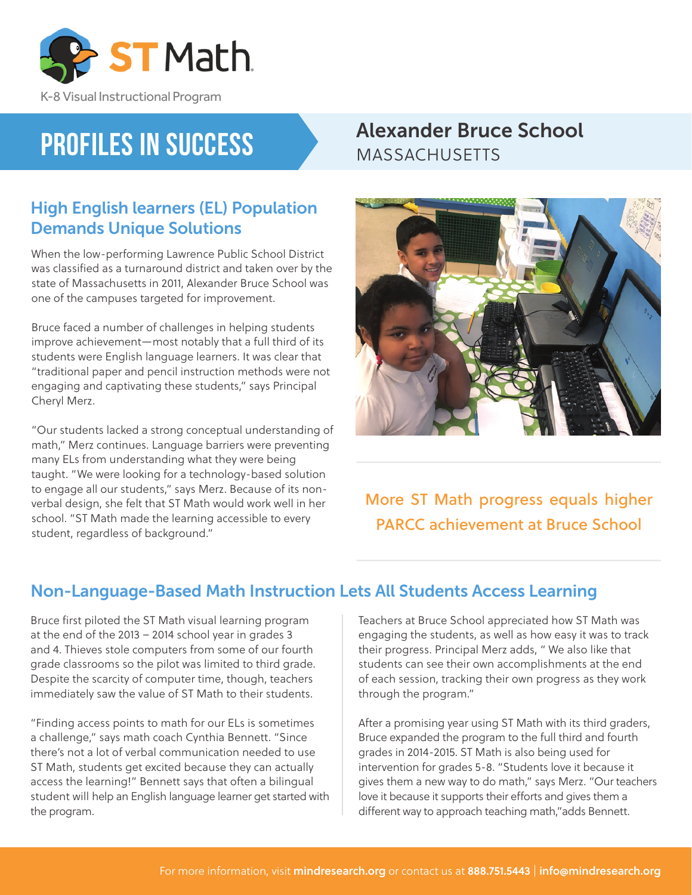

K-8 Visual Instructional Program

# **Profiles in Success**

### High English learners (EL) Population Demands Unique Solutions

When the low-performing Lawrence Public School District was classified as a turnaround district and taken over by the state of Massachusetts in 2011, Alexander Bruce School was one of the campuses targeted for improvement.

Bruce faced a number of challenges in helping students improve achievement—most notably that a full third of its students were English language learners. It was clear that "traditional paper and pencil instruction methods were not engaging and captivating these students," says Principal Cheryl Merz.

"Our students lacked a strong conceptual understanding of math," Merz continues. Language barriers were preventing many ELs from understanding what they were being taught. "We were looking for a technology-based solution to engage all our students," says Merz. Because of its nonverbal design, she felt that ST Math would work well in her school. "ST Math made the learning accessible to every student, regardless of background."

### Alexander Bruce School MASSACHUSETTS



More ST Math progress equals higher PARCC achievement at Bruce School

#### Non-Language-Based Math Instruction Lets All Students Access Learning

Bruce first piloted the ST Math visual learning program at the end of the 2013 – 2014 school year in grades 3 and 4. Thieves stole computers from some of our fourth grade classrooms so the pilot was limited to third grade. Despite the scarcity of computer time, though, teachers immediately saw the value of ST Math to their students.

"Finding access points to math for our ELs is sometimes a challenge," says math coach Cynthia Bennett. "Since there's not a lot of verbal communication needed to use ST Math, students get excited because they can actually access the learning!" Bennett says that often a bilingual student will help an English language learner get started with the program.

Teachers at Bruce School appreciated how ST Math was engaging the students, as well as how easy it was to track their progress. Principal Merz adds, " We also like that students can see their own accomplishments at the end of each session, tracking their own progress as they work through the program."

After a promising year using ST Math with its third graders, Bruce expanded the program to the full third and fourth grades in 2014-2015. ST Math is also being used for intervention for grades 5-8. "Students love it because it gives them a new way to do math," says Merz. "Our teachers love it because it supports their efforts and gives them a different way to approach teaching math,"adds Bennett.